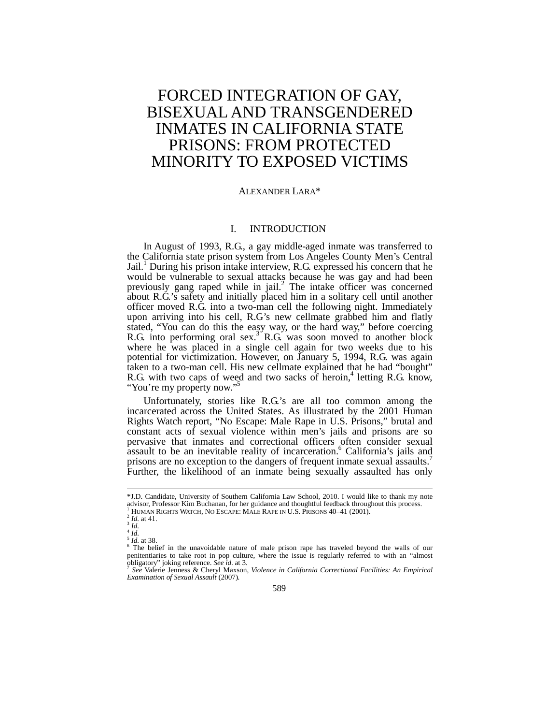# FORCED INTEGRATION OF GAY, BISEXUAL AND TRANSGENDERED INMATES IN CALIFORNIA STATE PRISONS: FROM PROTECTED MINORITY TO EXPOSED VICTIMS

# ALEXANDER LARA\*

# I. INTRODUCTION

In August of 1993, R.G., a gay middle-aged inmate was transferred to the California state prison system from Los Angeles County Men's Central Jail.<sup>1</sup> During his prison intake interview, R.G. expressed his concern that he would be vulnerable to sexual attacks because he was gay and had been previously gang raped while in jail.<sup>2</sup> The intake officer was concerned about R.G.'s safety and initially placed him in a solitary cell until another officer moved R.G. into a two-man cell the following night. Immediately upon arriving into his cell, R.G's new cellmate grabbed him and flatly stated, "You can do this the easy way, or the hard way," before coercing R.G. into performing oral sex.<sup>3</sup> R.G. was soon moved to another block where he was placed in a single cell again for two weeks due to his potential for victimization. However, on January 5, 1994, R.G. was again taken to a two-man cell. His new cellmate explained that he had "bought" R.G. with two caps of weed and two sacks of heroin,<sup>4</sup> letting R.G. know, "You're my property now."

Unfortunately, stories like R.G.'s are all too common among the incarcerated across the United States. As illustrated by the 2001 Human Rights Watch report, "No Escape: Male Rape in U.S. Prisons," brutal and constant acts of sexual violence within men's jails and prisons are so pervasive that inmates and correctional officers often consider sexual assault to be an inevitable reality of incarceration.<sup>6</sup> California's jails and prisons are no exception to the dangers of frequent inmate sexual assaults.<sup>7</sup> Further, the likelihood of an inmate being sexually assaulted has only

<sup>\*</sup>J.D. Candidate, University of Southern California Law School, 2010. I would like to thank my note advisor, Professor Kim Buchanan, for her guidance and thoughtful feedback throughout this process.<br><sup>1</sup> HUMAN RIGHTS WATCH, NO ESCAPE: MALE RAPE IN U.S. PRISONS 40–41 (2001).

<sup>&</sup>lt;sup>1</sup>HUMAN RIGHTS WATCH, NO ESCAPE: MALE RAPE IN U.S. PRISONS 40–41 (2001).<br>
<sup>2</sup>Id. at 41.<br>
<sup>4</sup>Id.<br>
<sup>5</sup>Id. at 38.<br>
<sup>5</sup>The belief in the unavoidable nature of male prison rape has traveled beyond the walls of our penitentiaries to take root in pop culture, where the issue is regularly referred to with an "almost obligatory" joking reference. *See id*. at 3. <sup>7</sup> *See* Valerie Jenness & Cheryl Maxson, *Violence in California Correctional Facilities: An Empirical* 

*Examination of Sexual Assault* (2007).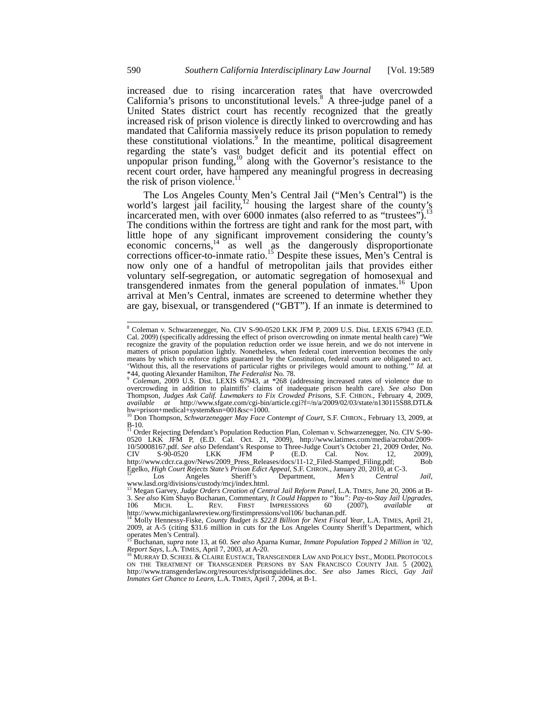increased due to rising incarceration rates that have overcrowded California's prisons to unconstitutional levels. $8$  A three-judge panel of a United States district court has recently recognized that the greatly increased risk of prison violence is directly linked to overcrowding and has mandated that California massively reduce its prison population to remedy these constitutional violations. $\frac{9}{2}$  In the meantime, political disagreement regarding the state's vast budget deficit and its potential effect on unpopular prison funding, $^{10}$  along with the Governor's resistance to the recent court order, have hampered any meaningful progress in decreasing the risk of prison violence. $^{11}$ 

The Los Angeles County Men's Central Jail ("Men's Central") is the world's largest jail facility, $12 \text{ hours}$  bound  $\text{tan } \sqrt{\text{tan } s}$  counts on the county's incarcerated men, with over 6000 inmates (also referred to as "trustees").<sup>13</sup> The conditions within the fortress are tight and rank for the most part, with little hope of any significant improvement considering the county's economic concerns, $14\degree$  as well as the dangerously disproportionate corrections officer-to-inmate ratio.<sup>15</sup> Despite these issues, Men's Central is now only one of a handful of metropolitan jails that provides either voluntary self-segregation, or automatic segregation of homosexual and transgendered inmates from the general population of inmates.<sup>16</sup> Upon arrival at Men's Central, inmates are screened to determine whether they are gay, bisexual, or transgendered ("GBT"). If an inmate is determined to

 $\overline{a}$ 

<sup>8</sup> Coleman v. Schwarzenegger, No. CIV S-90-0520 LKK JFM P, 2009 U.S. Dist. LEXIS 67943 (E.D. Cal. 2009) (specifically addressing the effect of prison overcrowding on inmate mental health care) "We recognize the gravity of the population reduction order we issue herein, and we do not intervene in matters of prison population lightly. Nonetheless, when federal court intervention becomes the only means by which to enforce rights guaranteed by the Constitution, federal courts are obligated to act. 'Without this, all the reservations of particular rights or privileges would amount to nothing.'" *Id.* at

<sup>\*44,</sup> quoting Alexander Hamilton, *The Federalist* No. 78.<br><sup>9</sup> Coleman, 2009 U.S. Dist. LEXIS 67943, at \*268 (addressing increased rates of violence due to overcrowding in addition to plaintiffs' claims of inadequate prison Thompson, *Judges Ask Calif. Lawmakers to Fix Crowded Prisons*, S.F. CHRON., February 4, 2009, *available at* http://www.sfgate.com/cgi-bin/article.cgi?f=/n/a/2009/02/03/state/n130115S88.DTL& hw=prison+medical+system&sn=001&sc=1000. <sup>10</sup> Don Thompson, *Schwarzenegger May Face Contempt of Court*, S.F. CHRON., February 13, 2009, at

B-10. <sup>11</sup> Order Rejecting Defendant's Population Reduction Plan, Coleman v. Schwarzenegger, No. CIV S-90-

<sup>0520</sup> LKK JFM P, (E.D. Cal. Oct. 21, 2009), http://www.latimes.com/media/acrobat/2009- 10/50008167.pdf. *See also* Defendant's Response to Three-Judge Court's October 21, 2009 Order, No. CIV S-90-0520 LKK JFM P (E.D. Cal. Nov. 12, 2009), http://www.cdcr.ca.gov/News/2009\_Press\_Releases/docs/11-12\_Filed-Stamped\_Filing.pdf; Bob Egelko, *High Court Rejects State's Prison Edict Appeal*, S.F. CHRON., January 20, 2010, at C-3. <sup>12</sup> Los Angeles Sheriff's Department, *Men's Central Jail*,

www.lasd.org/divisions/custody/mcj/index.html.<br><sup>13</sup> Megan Garvey, Judge Orders Creation of Central Jail Reform Panel, L.A. TIMES, June 20, 2006 at B-<br>3. See also Kim Shayo Buchanan, Commentary, It Could Happen to "You": Pa 106 MICH. L. REV. FIRST IMPRESSIONS 60 (2007), *available at*  http://www.michiganlawreview.org/firstimpressions/vol106/ buchanan.pdf.

<sup>14</sup> Molly Hennessy-Fiske, *County Budget is \$22.8 Billion for Next Fiscal Year*, L.A. TIMES, April 21, 2009, at A-5 (citing \$31.6 million in cuts for the Los Angeles County Sheriff's Department, which operates Men's Central). <sup>15</sup> Buchanan, *supra* note 13, at 60. *See also* Aparna Kumar, *Inmate Population Topped 2 Million in '02,* 

*Report Says*, L.A. Times, April 7, 2003, at A-20.<br><sup>16</sup> Murray D. Scheel & Claire Eustace, Transgender Law and Policy Inst., Model Protocols<br>on the Treatment of Transgender Persons by San Francisco County Jail 5 (2002), http://www.transgenderlaw.org/resources/sfprisonguidelines.doc. *See also* James Ricci, *Gay Jail Inmates Get Chance to Learn*, L.A. TIMES, April 7, 2004, at B-1.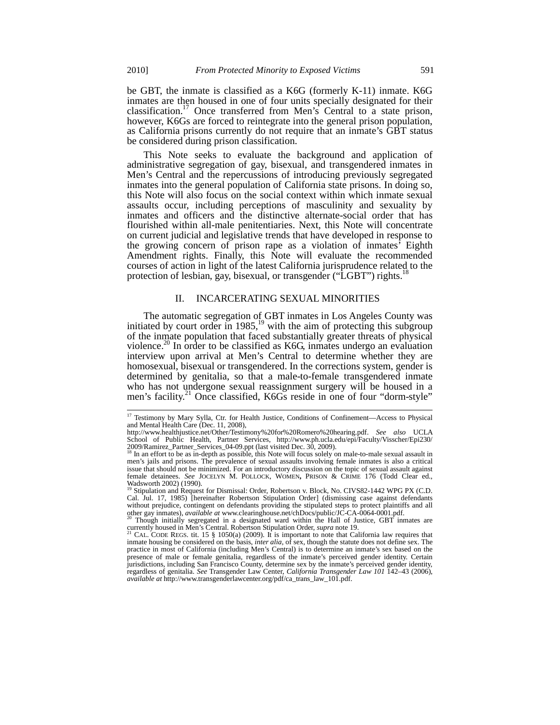be GBT, the inmate is classified as a K6G (formerly K-11) inmate. K6G inmates are then housed in one of four units specially designated for their classification.17 Once transferred from Men's Central to a state prison, however, K6Gs are forced to reintegrate into the general prison population, as California prisons currently do not require that an inmate's GBT status be considered during prison classification.

This Note seeks to evaluate the background and application of administrative segregation of gay, bisexual, and transgendered inmates in Men's Central and the repercussions of introducing previously segregated inmates into the general population of California state prisons. In doing so, this Note will also focus on the social context within which inmate sexual assaults occur, including perceptions of masculinity and sexuality by inmates and officers and the distinctive alternate-social order that has flourished within all-male penitentiaries. Next, this Note will concentrate on current judicial and legislative trends that have developed in response to the growing concern of prison rape as a violation of inmates' Eighth Amendment rights. Finally, this Note will evaluate the recommended courses of action in light of the latest California jurisprudence related to the protection of lesbian, gay, bisexual, or transgender ("LGBT") rights.<sup>1</sup>

## II. INCARCERATING SEXUAL MINORITIES

The automatic segregation of GBT inmates in Los Angeles County was initiated by court order in  $1985$ ,<sup>19</sup> with the aim of protecting this subgroup of the inmate population that faced substantially greater threats of physical violence.<sup>20</sup> In order to be classified as K6G, inmates undergo an evaluation interview upon arrival at Men's Central to determine whether they are homosexual, bisexual or transgendered. In the corrections system, gender is determined by genitalia, so that a male-to-female transgendered inmate who has not undergone sexual reassignment surgery will be housed in a men's facility.<sup>21</sup> Once classified, K6Gs reside in one of four "dorm-style"

<sup>&</sup>lt;sup>17</sup> Testimony by Mary Sylla, Ctr. for Health Justice, Conditions of Confinement—Access to Physical and Mental Health Care (Dec. 11, 2008),

http://www.healthjustice.net/Other/Testimony%20for%20Romero%20hearing.pdf. *See also* UCLA School of Public Health, Partner Services, http://www.ph.ucla.edu/epi/Faculty/Visscher/Epi230/ 2009/Ramirez\_Partner\_Services\_04-09.ppt (last visited Dec. 30, 2009). <sup>18</sup> In an effort to be as in-depth as possible, this Note will focus solely on male-to-male sexual assault in

men's jails and prisons. The prevalence of sexual assaults involving female inmates is also a critical issue that should not be minimized. For an introductory discussion on the topic of sexual assault against female detainees. *See* JOCELYN M. POLLOCK, WOMEN**,** PRISON & CRIME 176 (Todd Clear ed., Wadsworth 2002) (1990). <sup>19</sup> Stipulation and Request for Dismissal: Order, Robertson v. Block, No. CIVS82-1442 WPG PX (C.D.

Cal. Jul. 17, 1985) [hereinafter Robertson Stipulation Order] (dismissing case against defendants without prejudice, contingent on defendants providing the stipulated steps to protect plaintiffs and all

other gay inmates), *available at* www.clearinghouse.net/chDocs/public/JC-CA-0064-0001.pdf. <sup>20</sup> Though initially segregated in a designated ward within the Hall of Justice, GBT inmates are currently housed in Men's Centra

currently housed in Men's Central. Robertson Stipulation Order, *supra* note 19.<br><sup>21</sup> CAL. CODE REGS. tit. 15 § 1050(a) (2009). It is important to note that California law requires that inmate housing be considered on the practice in most of California (including Men's Central) is to determine an inmate's sex based on the presence of male or female genitalia, regardless of the inmate's perceived gender identity. Certain jurisdictions, including San Francisco County, determine sex by the inmate's perceived gender identity, regardless of genitalia. *See* Transgender Law Center, *California Transgender Law 101* 142–43 (2006), *available at* http://www.transgenderlawcenter.org/pdf/ca\_trans\_law\_101.pdf.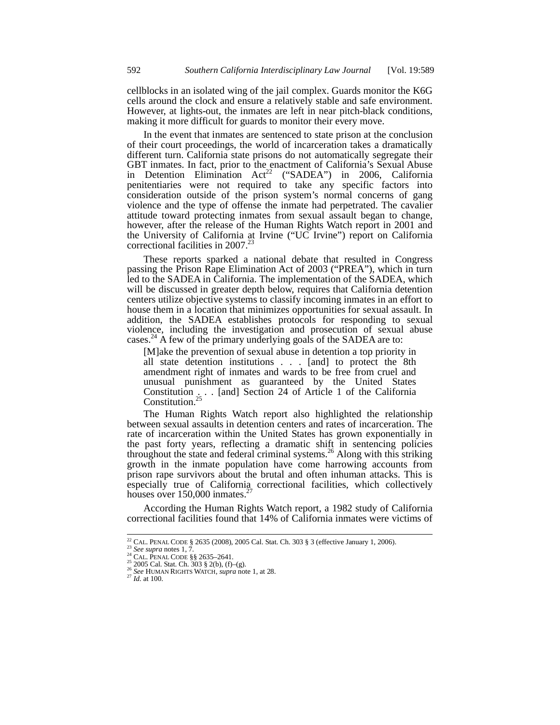cellblocks in an isolated wing of the jail complex. Guards monitor the K6G cells around the clock and ensure a relatively stable and safe environment. However, at lights-out, the inmates are left in near pitch-black conditions, making it more difficult for guards to monitor their every move.

In the event that inmates are sentenced to state prison at the conclusion of their court proceedings, the world of incarceration takes a dramatically different turn. California state prisons do not automatically segregate their GBT inmates. In fact, prior to the enactment of California's Sexual Abuse in Detention Elimination  $Act^{22}$  ("SADEA") in 2006, California penitentiaries were not required to take any specific factors into consideration outside of the prison system's normal concerns of gang violence and the type of offense the inmate had perpetrated. The cavalier attitude toward protecting inmates from sexual assault began to change, however, after the release of the Human Rights Watch report in 2001 and the University of California at Irvine ("UC Irvine") report on California correctional facilities in  $2007.<sup>23</sup>$ 

These reports sparked a national debate that resulted in Congress passing the Prison Rape Elimination Act of 2003 ("PREA"), which in turn led to the SADEA in California. The implementation of the SADEA, which will be discussed in greater depth below, requires that California detention centers utilize objective systems to classify incoming inmates in an effort to house them in a location that minimizes opportunities for sexual assault. In addition, the SADEA establishes protocols for responding to sexual violence, including the investigation and prosecution of sexual abuse cases.<sup>24</sup> A few of the primary underlying goals of the SADEA are to:

[M]ake the prevention of sexual abuse in detention a top priority in all state detention institutions . . . [and] to protect the 8th amendment right of inmates and wards to be free from cruel and unusual punishment as guaranteed by the United States Constitution  $\ldots$  [and] Section 24 of Article 1 of the California Constitution.<sup>25</sup>

The Human Rights Watch report also highlighted the relationship between sexual assaults in detention centers and rates of incarceration. The rate of incarceration within the United States has grown exponentially in the past forty years, reflecting a dramatic shift in sentencing policies throughout the state and federal criminal systems.<sup>26</sup> Along with this striking growth in the inmate population have come harrowing accounts from prison rape survivors about the brutal and often inhuman attacks. This is especially true of California correctional facilities, which collectively houses over  $150,000$  inmates.<sup>2</sup>

According the Human Rights Watch report, a 1982 study of California correctional facilities found that 14% of California inmates were victims of

<sup>&</sup>lt;sup>22</sup> CAL. PENAL CODE § 2635 (2008), 2005 Cal. Stat. Ch. 303 § 3 (effective January 1, 2006).

<sup>&</sup>lt;sup>23</sup> See supra notes 1, 7.<br>
<sup>24</sup> CAL. PENAL CODE § 2635-2641.<br>
<sup>24</sup> CAL. PENAL CODE § 2635-2641.<br>
<sup>25</sup> 2005 Cal. Stat. Ch. 303 § 2(b), (f)-(g).<br>
<sup>26</sup> See HUMAN RIGHTS WATCH, *supra* note 1, at 28.<br>
<sup>27</sup> Id. at 100.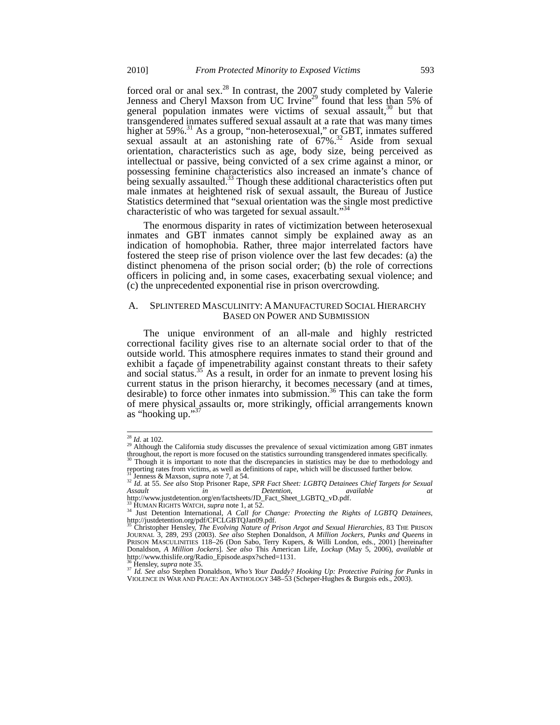forced oral or anal sex.<sup>28</sup> In contrast, the  $2007$  study completed by Valerie Jenness and Cheryl Maxson from UC Irvine<sup>29</sup> found that less than 5% of general population inmates were victims of sexual assault,  $30$  but that transgendered inmates suffered sexual assault at a rate that was many times higher at 59%.<sup>31</sup> As a group, "non-heterosexual," or GBT, inmates suffered sexual assault at an astonishing rate of  $67\%$ <sup>32</sup> Aside from sexual orientation, characteristics such as age, body size, being perceived as intellectual or passive, being convicted of a sex crime against a minor, or possessing feminine characteristics also increased an inmate's chance of being sexually assaulted.<sup>33</sup> Though these additional characteristics often put male inmates at heightened risk of sexual assault, the Bureau of Justice Statistics determined that "sexual orientation was the single most predictive characteristic of who was targeted for sexual assault."<sup>3</sup>

The enormous disparity in rates of victimization between heterosexual inmates and GBT inmates cannot simply be explained away as an indication of homophobia. Rather, three major interrelated factors have fostered the steep rise of prison violence over the last few decades: (a) the distinct phenomena of the prison social order; (b) the role of corrections officers in policing and, in some cases, exacerbating sexual violence; and (c) the unprecedented exponential rise in prison overcrowding.

#### A. SPLINTERED MASCULINITY: A MANUFACTURED SOCIAL HIERARCHY BASED ON POWER AND SUBMISSION

The unique environment of an all-male and highly restricted correctional facility gives rise to an alternate social order to that of the outside world. This atmosphere requires inmates to stand their ground and exhibit a façade of impenetrability against constant threats to their safety and social status.<sup>35</sup> As a result, in order for an inmate to prevent losing his current status in the prison hierarchy, it becomes necessary (and at times, desirable) to force other inmates into submission.<sup>36</sup> This can take the form of mere physical assaults or, more strikingly, official arrangements known as "hooking up."<sup>37</sup>

 $^{28}$  *Id.* at 102.

<sup>&</sup>lt;sup>29</sup> Although the California study discusses the prevalence of sexual victimization among GBT inmates throughout, the report is more focused on the statistics surrounding transgendered inmates specifically.

Though it is important to note that the discrepancies in statistics may be due to methodology and reporting rates from victims, as well as definitions of rape, which will be discussed further below.<br><sup>31</sup> Jenness & Maxson, *supra* note 7, at 54.<br><sup>32</sup> Id. at 55. See also Stop Prisoner Rape, *SPR Fact Sheet: LGBTQ Detaine* 

*Assault in Detention*,  $\overline{A}$  *Detention*, *available* at *available* at *Att* p://www.justdetention.org/en/factsheets/JD\_Fact\_Sheet\_LGBTQ\_vD.pdf. <sup>33</sup> HUMAN RIGHTS WATCH, *supra* note 1, at 52.

<sup>34</sup> HUMAN RIGHTS WATCH, *supra* note 1, at 52.<br><sup>34</sup> Just Detention International, *A Call for Change: Protecting the Rights of LGBTQ Detainees*, http://justdetention.org/pdf/CFCLGBTQJan09.pdf.

<sup>35</sup> Christopher Hensley, *The Evolving Nature of Prison Argot and Sexual Hierarchies*, 83 THE PRISON JOURNAL 3, 289, 293 (2003). *See also* Stephen Donaldson, *A Million Jockers, Punks and Queens* in PRISON MASCULINITIES 118–26 (Don Sabo, Terry Kupers, & Willi London, eds., 2001) [hereinafter Donaldson, *A Million Jockers*]. *See also* This American Life, *Lockup* (May 5, 2006), *available at*  http://www.thislife.org/Radio\_Episode.aspx?sched=1131.

<sup>&</sup>lt;sup>36</sup> Hensley, *supra* note 35.<br><sup>37</sup> *Id. See also Stephen Donaldson, Who's Your Daddy? Hooking Up: Protective Pairing for Punks in* VIOLENCE IN WAR AND PEACE: AN ANTHOLOGY 348–53 (Scheper-Hughes & Burgois eds., 2003).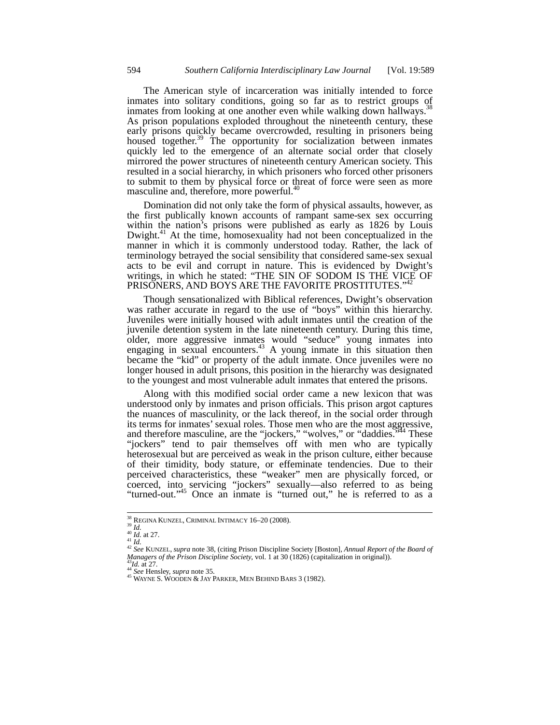The American style of incarceration was initially intended to force inmates into solitary conditions, going so far as to restrict groups of inmates from looking at one another even while walking down hallways.<sup>38</sup> As prison populations exploded throughout the nineteenth century, these early prisons quickly became overcrowded, resulting in prisoners being housed together.<sup>39</sup> The opportunity for socialization between inmates quickly led to the emergence of an alternate social order that closely mirrored the power structures of nineteenth century American society. This resulted in a social hierarchy, in which prisoners who forced other prisoners to submit to them by physical force or threat of force were seen as more masculine and, therefore, more powerful.<sup>40</sup>

Domination did not only take the form of physical assaults, however, as the first publically known accounts of rampant same-sex sex occurring within the nation's prisons were published as early as 1826 by Louis Dwight.<sup>41</sup> At the time, homosexuality had not been conceptualized in the manner in which it is commonly understood today. Rather, the lack of terminology betrayed the social sensibility that considered same-sex sexual acts to be evil and corrupt in nature. This is evidenced by Dwight's writings, in which he stated: "THE SIN OF SODOM IS THE VICE OF PRISONERS, AND BOYS ARE THE FAVORITE PROSTITUTES."4

Though sensationalized with Biblical references, Dwight's observation was rather accurate in regard to the use of "boys" within this hierarchy. Juveniles were initially housed with adult inmates until the creation of the juvenile detention system in the late nineteenth century. During this time, older, more aggressive inmates would "seduce" young inmates into engaging in sexual encounters.<sup>43</sup> A young inmate in this situation then became the "kid" or property of the adult inmate. Once juveniles were no longer housed in adult prisons, this position in the hierarchy was designated to the youngest and most vulnerable adult inmates that entered the prisons.

Along with this modified social order came a new lexicon that was understood only by inmates and prison officials. This prison argot captures the nuances of masculinity, or the lack thereof, in the social order through its terms for inmates' sexual roles. Those men who are the most aggressive, and therefore masculine, are the "jockers," "wolves," or "daddies.<sup>9544</sup> These "jockers" tend to pair themselves off with men who are typically heterosexual but are perceived as weak in the prison culture, either because of their timidity, body stature, or effeminate tendencies. Due to their perceived characteristics, these "weaker" men are physically forced, or coerced, into servicing "jockers" sexually—also referred to as being "turned-out."<sup>45</sup> Once an inmate is "turned out," he is referred to as a

 $^{38}$  REGINA KUNZEL, CRIMINAL INTIMACY 16-20 (2008).

<sup>&</sup>lt;sup>38</sup> REGINA KUNZEL, CRIMINAL INTIMACY 16–20 (2008).<br><sup>40</sup> *Id.* at 27.<br><sup>41</sup> *Id.* 42 *See* KUNZEL, *supra* note 38, (citing Prison Discipline Society [Boston], *Annual Report of the Board of Managers of the Prison Discipline Society*, vol. 1 at 30 (1826) (capitalization in original)).<br><sup>43</sup>*Id.* at 27. 44 *See* Hensley, *supra* note 35. 45 WAYNE S. WOODEN & JAY PARKER, MEN BEHIND BARS 3 (1982).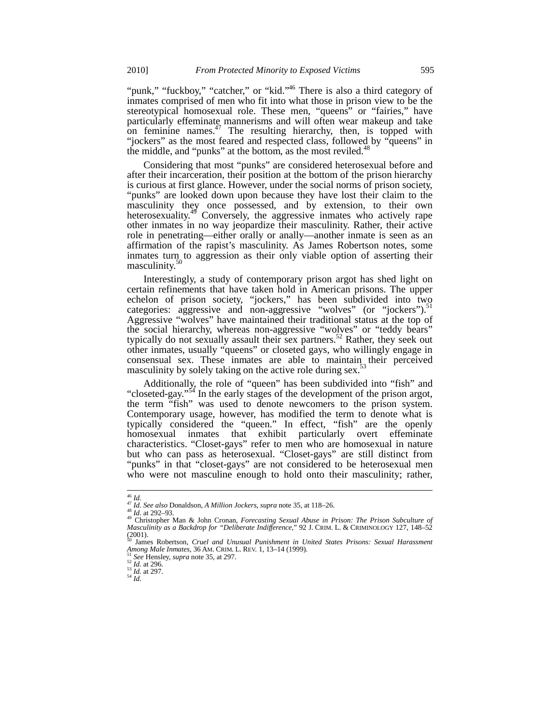"punk," "fuckboy," "catcher," or "kid."<sup>46</sup> There is also a third category of inmates comprised of men who fit into what those in prison view to be the stereotypical homosexual role. These men, "queens" or "fairies," have particularly effeminate mannerisms and will often wear makeup and take on feminine names. $47$  The resulting hierarchy, then, is topped with "jockers" as the most feared and respected class, followed by "queens" in the middle, and "punks" at the bottom, as the most reviled. $44$ 

Considering that most "punks" are considered heterosexual before and after their incarceration, their position at the bottom of the prison hierarchy is curious at first glance. However, under the social norms of prison society, "punks" are looked down upon because they have lost their claim to the masculinity they once possessed, and by extension, to their own heterosexuality.<sup>49</sup> Conversely, the aggressive inmates who actively rape other inmates in no way jeopardize their masculinity. Rather, their active role in penetrating—either orally or anally—another inmate is seen as an affirmation of the rapist's masculinity. As James Robertson notes, some inmates turn to aggression as their only viable option of asserting their masculinity.<sup>50</sup>

Interestingly, a study of contemporary prison argot has shed light on certain refinements that have taken hold in American prisons. The upper echelon of prison society, "jockers," has been subdivided into two categories: aggressive and non-aggressive "wolves" (or "jockers").<sup>51</sup> Aggressive "wolves" have maintained their traditional status at the top of the social hierarchy, whereas non-aggressive "wolves" or "teddy bears" typically do not sexually assault their sex partners.<sup>52</sup> Rather, they seek out other inmates, usually "queens" or closeted gays, who willingly engage in consensual sex. These inmates are able to maintain their perceived masculinity by solely taking on the active role during sex.<sup>5</sup>

Additionally, the role of "queen" has been subdivided into "fish" and "closeted-gay."<sup>54</sup> In the early stages of the development of the prison argot, the term "fish" was used to denote newcomers to the prison system. Contemporary usage, however, has modified the term to denote what is typically considered the "queen." In effect, "fish" are the openly homosexual inmates that exhibit particularly overt effeminate characteristics. "Closet-gays" refer to men who are homosexual in nature but who can pass as heterosexual. "Closet-gays" are still distinct from "punks" in that "closet-gays" are not considered to be heterosexual men who were not masculine enough to hold onto their masculinity; rather,

 $\frac{46}{47}$  *Id.*<br> $\frac{47}{47}$  *Id. See also* Donaldson, *A Million Jockers, supra* note 35, at 118–26.

<sup>&</sup>lt;sup>46</sup> Id.<br><sup>47</sup> Id. See also Donaldson, A Million Jockers, supra note 35, at 118–26.<br><sup>48</sup> Id. at 292–93.<br><sup>49</sup> Christopher Man & John Cronan, *Forecasting Sexual Abuse in Prison: The Prison Subculture of Masculinity as a Backdrop for "Deliberate Indifference*," 92 J. CRIM. L. & CRIMINOLOGY 127, 148–52  $(2001)$ .

<sup>50</sup> James Robertson, *Cruel and Unusual Punishment in United States Prisons: Sexual Harassment Among Male Inmates*, 36 *AM.* CRIM. L. REV. 1, 13–14 (1999).<br><sup>51</sup> *See* Hensley, *supra* note 35, at 297.<br><sup>52</sup> *Id.* at 296.<br><sup>53</sup> *Id.* at 297.<br><sup>54</sup> *Id.*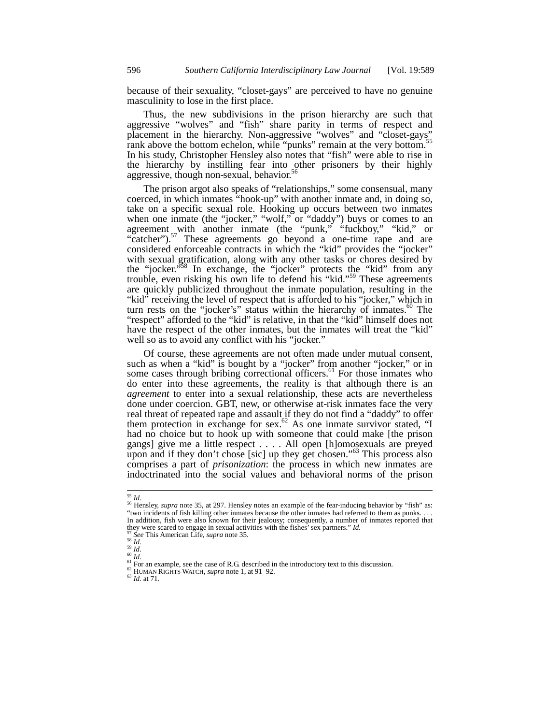because of their sexuality, "closet-gays" are perceived to have no genuine masculinity to lose in the first place.

Thus, the new subdivisions in the prison hierarchy are such that aggressive "wolves" and "fish" share parity in terms of respect and placement in the hierarchy. Non-aggressive "wolves" and "closet-gays" rank above the bottom echelon, while "punks" remain at the very bottom.<sup>55</sup> In his study, Christopher Hensley also notes that "fish" were able to rise in the hierarchy by instilling fear into other prisoners by their highly aggressive, though non-sexual, behavior.<sup>5</sup>

The prison argot also speaks of "relationships," some consensual, many coerced, in which inmates "hook-up" with another inmate and, in doing so, take on a specific sexual role. Hooking up occurs between two inmates when one inmate (the "jocker," "wolf," or "daddy") buys or comes to an agreement with another inmate (the "punk," "fuckboy," "kid," or "catcher").<sup>57</sup> These agreements go beyond a one-time rape and are considered enforceable contracts in which the "kid" provides the "jocker" with sexual gratification, along with any other tasks or chores desired by the "jocker.<sup>558</sup> In exchange, the "jocker" protects the "kid" from any trouble, even risking his own life to defend his "kid."<sup>59</sup> These agreements are quickly publicized throughout the inmate population, resulting in the "kid" receiving the level of respect that is afforded to his "jocker," which in turn rests on the "jocker's" status within the hierarchy of inmates. $60$  The "respect" afforded to the "kid" is relative, in that the "kid" himself does not have the respect of the other inmates, but the inmates will treat the "kid" well so as to avoid any conflict with his "jocker."

Of course, these agreements are not often made under mutual consent, such as when a "kid" is bought by a "jocker" from another "jocker," or in some cases through bribing correctional officers. $61$  For those inmates who do enter into these agreements, the reality is that although there is an *agreement* to enter into a sexual relationship, these acts are nevertheless done under coercion. GBT, new, or otherwise at-risk inmates face the very real threat of repeated rape and assault if they do not find a "daddy" to offer them protection in exchange for sex.<sup>62</sup> As one inmate survivor stated, "I had no choice but to hook up with someone that could make [the prison gangs] give me a little respect . . . . All open [h]omosexuals are preyed upon and if they don't chose [sic] up they get chosen."<sup>63</sup> This process also comprises a part of *prisonization*: the process in which new inmates are indoctrinated into the social values and behavioral norms of the prison

 $55$  Id.

<sup>&</sup>lt;sup>56</sup> Hensley, *supra* note 35, at 297. Hensley notes an example of the fear-inducing behavior by "fish" as: "two incidents of fish killing other inmates because the other inmates had referred to them as punks. . . . In addition, fish were also known for their jealousy; consequently, a number of inmates reported that they were scared to engage in sexual activities with the fishes' sex partners." *Id.*<br>
<sup>57</sup> See This American Life, *supra* note 35.<br>
<sup>59</sup> Id.<br>
<sup>61</sup> Id.<br>
<sup>61</sup> For an example, see the case of R.G described in the introduct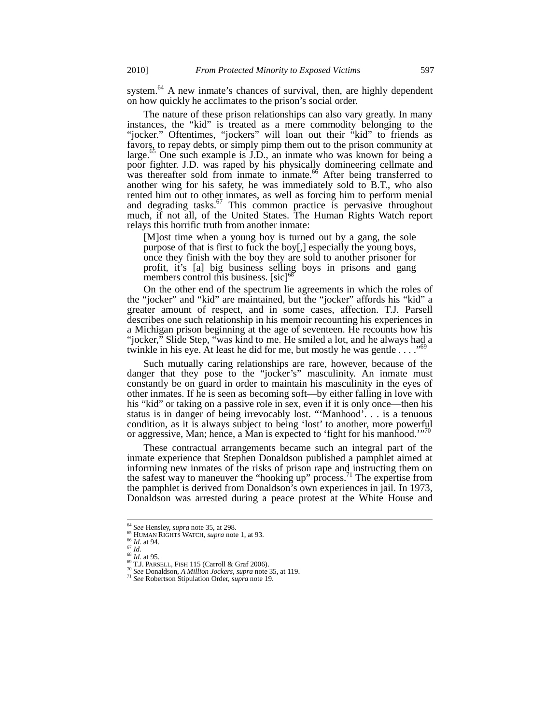system.<sup>64</sup> A new inmate's chances of survival, then, are highly dependent on how quickly he acclimates to the prison's social order.

The nature of these prison relationships can also vary greatly. In many instances, the "kid" is treated as a mere commodity belonging to the "jocker." Oftentimes, "jockers" will loan out their "kid" to friends as favors, to repay debts, or simply pimp them out to the prison community at large.<sup>65</sup> One such example is  $\overline{J.D.}$ , an inmate who was known for being a poor fighter. J.D. was raped by his physically domineering cellmate and was thereafter sold from inmate to inmate.<sup>66</sup> After being transferred to another wing for his safety, he was immediately sold to B.T., who also rented him out to other inmates, as well as forcing him to perform menial and degrading tasks.<sup>67</sup> This common practice is pervasive throughout much, if not all, of the United States. The Human Rights Watch report relays this horrific truth from another inmate:

[M]ost time when a young boy is turned out by a gang, the sole purpose of that is first to fuck the boy[,] especially the young boys, once they finish with the boy they are sold to another prisoner for profit, it's [a] big business selling boys in prisons and gang members control this business. [sic]<sup>68</sup>

On the other end of the spectrum lie agreements in which the roles of the "jocker" and "kid" are maintained, but the "jocker" affords his "kid" a greater amount of respect, and in some cases, affection. T.J. Parsell describes one such relationship in his memoir recounting his experiences in a Michigan prison beginning at the age of seventeen. He recounts how his "jocker," Slide Step, "was kind to me. He smiled a lot, and he always had a twinkle in his eye. At least he did for me, but mostly he was gentle  $\dots$ ."<sup>6</sup>

Such mutually caring relationships are rare, however, because of the danger that they pose to the "jocker's" masculinity. An inmate must constantly be on guard in order to maintain his masculinity in the eyes of other inmates. If he is seen as becoming soft—by either falling in love with his "kid" or taking on a passive role in sex, even if it is only once—then his status is in danger of being irrevocably lost. "'Manhood'. . . is a tenuous condition, as it is always subject to being 'lost' to another, more powerful or aggressive, Man; hence, a Man is expected to 'fight for his manhood.'<sup>70</sup>

These contractual arrangements became such an integral part of the inmate experience that Stephen Donaldson published a pamphlet aimed at informing new inmates of the risks of prison rape and instructing them on the safest way to maneuver the "hooking up" process.<sup>71</sup> The expertise from the pamphlet is derived from Donaldson's own experiences in jail. In 1973, Donaldson was arrested during a peace protest at the White House and

<sup>&</sup>lt;sup>64</sup> See Hensley, supra note 35, at 298.

<sup>&</sup>lt;sup>65</sup> HUMAN RIGHTS WATCH, *supra* note 1, at 93.<br>
<sup>66</sup> *Id.* at 94.<br>
<sup>67</sup> *Id.* at 95.<br>
<sup>68</sup> *Id.* at 95.<br>
<sup>69</sup> *IC.* PARSELL, FISH 115 (Carroll & Graf 2006).<br>
<sup>70</sup> *See* Donaldson, *A Million Jockers, supra* note 35, at 1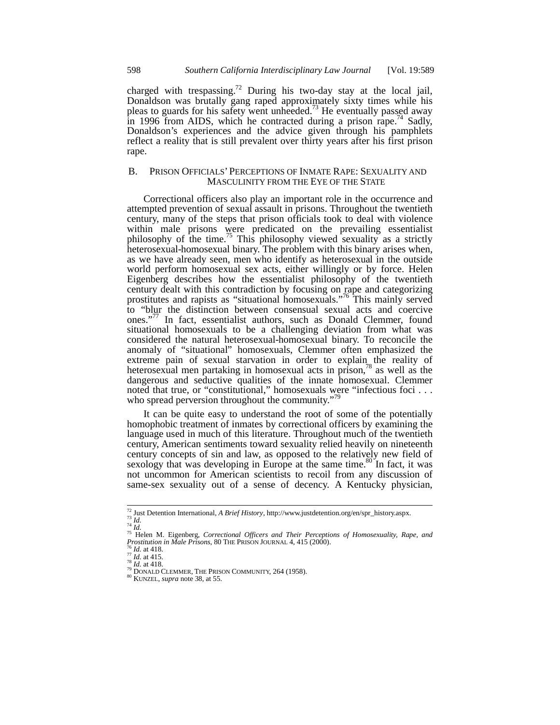charged with trespassing.<sup>72</sup> During his two-day stay at the local jail, Donaldson was brutally gang raped approximately sixty times while his pleas to guards for his safety went unheeded.<sup>73</sup> He eventually passed away in 1996 from AIDS, which he contracted during a prison rape.<sup>74</sup> Sadly, Donaldson's experiences and the advice given through his pamphlets reflect a reality that is still prevalent over thirty years after his first prison rape.

# B. PRISON OFFICIALS' PERCEPTIONS OF INMATE RAPE: SEXUALITY AND MASCULINITY FROM THE EYE OF THE STATE

Correctional officers also play an important role in the occurrence and attempted prevention of sexual assault in prisons. Throughout the twentieth century, many of the steps that prison officials took to deal with violence within male prisons were predicated on the prevailing essentialist philosophy of the time.<sup>75</sup> This philosophy viewed sexuality as a strictly heterosexual-homosexual binary. The problem with this binary arises when, as we have already seen, men who identify as heterosexual in the outside world perform homosexual sex acts, either willingly or by force. Helen Eigenberg describes how the essentialist philosophy of the twentieth century dealt with this contradiction by focusing on rape and categorizing prostitutes and rapists as "situational homosexuals."76 This mainly served to "blur the distinction between consensual sexual acts and coercive ones."<sup>77</sup> In fact, essentialist authors, such as Donald Clemmer, found situational homosexuals to be a challenging deviation from what was considered the natural heterosexual-homosexual binary. To reconcile the anomaly of "situational" homosexuals, Clemmer often emphasized the extreme pain of sexual starvation in order to explain the reality of heterosexual men partaking in homosexual acts in prison,<sup>78</sup> as well as the dangerous and seductive qualities of the innate homosexual. Clemmer noted that true, or "constitutional," homosexuals were "infectious foci . . . who spread perversion throughout the community."<sup>79</sup>

It can be quite easy to understand the root of some of the potentially homophobic treatment of inmates by correctional officers by examining the language used in much of this literature. Throughout much of the twentieth century, American sentiments toward sexuality relied heavily on nineteenth century concepts of sin and law, as opposed to the relatively new field of sexology that was developing in Europe at the same time. $80^\circ$  In fact, it was not uncommon for American scientists to recoil from any discussion of same-sex sexuality out of a sense of decency. A Kentucky physician,

<sup>&</sup>lt;sup>72</sup> Just Detention International, *A Brief History*, http://www.justdetention.org/en/spr\_history.aspx.<br><sup>73</sup> Id.<br><sup>74</sup> Id.<br><sup>75</sup> Helen M. Eigenberg, *Correctional Officers and Their Perceptions of Homosexuality, Rape, and* 

<sup>&</sup>lt;sup>75</sup> Helen M. Eigenberg, *Correctional Officers and Their Perceptions of Homosexuality, Rape, and Prostitution in Male Prisons, 80 THE PRISON JOURNAL 4, 415 (2000).<br><sup>76</sup> <i>Id.* at 418.<br><sup>77</sup> *Id.* at 418.<br><sup>78</sup> *Id.* at 418.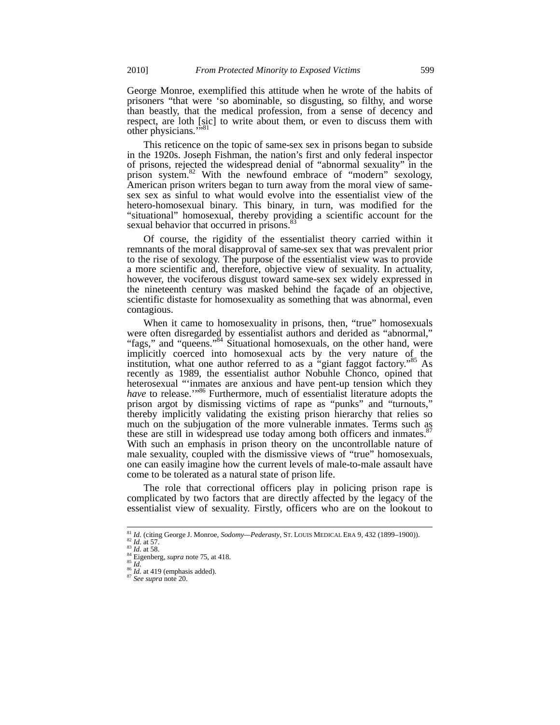George Monroe, exemplified this attitude when he wrote of the habits of prisoners "that were 'so abominable, so disgusting, so filthy, and worse than beastly, that the medical profession, from a sense of decency and respect, are loth [sic] to write about them, or even to discuss them with other physicians.'

This reticence on the topic of same-sex sex in prisons began to subside in the 1920s. Joseph Fishman, the nation's first and only federal inspector of prisons, rejected the widespread denial of "abnormal sexuality" in the prison system.<sup>82</sup> With the newfound embrace of "modern" sexology, American prison writers began to turn away from the moral view of samesex sex as sinful to what would evolve into the essentialist view of the hetero-homosexual binary. This binary, in turn, was modified for the "situational" homosexual, thereby providing a scientific account for the sexual behavior that occurred in prisons.<sup>83</sup>

Of course, the rigidity of the essentialist theory carried within it remnants of the moral disapproval of same-sex sex that was prevalent prior to the rise of sexology. The purpose of the essentialist view was to provide a more scientific and, therefore, objective view of sexuality. In actuality, however, the vociferous disgust toward same-sex sex widely expressed in the nineteenth century was masked behind the façade of an objective, scientific distaste for homosexuality as something that was abnormal, even contagious.

When it came to homosexuality in prisons, then, "true" homosexuals were often disregarded by essentialist authors and derided as "abnormal," "fags," and "queens."<sup>84</sup> Situational homosexuals, on the other hand, were implicitly coerced into homosexual acts by the very nature of the institution, what one author referred to as a "giant faggot factory."<sup>85</sup> As recently as 1989, the essentialist author Nobuhle Chonco, opined that heterosexual "'inmates are anxious and have pent-up tension which they *have* to release."<sup>86</sup> Furthermore, much of essentialist literature adopts the prison argot by dismissing victims of rape as "punks" and "turnouts," thereby implicitly validating the existing prison hierarchy that relies so much on the subjugation of the more vulnerable inmates. Terms such as these are still in widespread use today among both officers and inmates.<sup>87</sup> With such an emphasis in prison theory on the uncontrollable nature of male sexuality, coupled with the dismissive views of "true" homosexuals, one can easily imagine how the current levels of male-to-male assault have come to be tolerated as a natural state of prison life.

The role that correctional officers play in policing prison rape is complicated by two factors that are directly affected by the legacy of the essentialist view of sexuality. Firstly, officers who are on the lookout to

<sup>&</sup>lt;sup>81</sup> *Id.* (citing George J. Monroe, *Sodomy—Pederasty*, ST. LOUIS MEDICAL ERA 9, 432 (1899–1900)).<br><sup>82</sup> *Id.* at 57.<br><sup>83</sup> *Id.* at 58.<br><sup>84</sup> Eigenberg, *supra* note 75, at 418.<br><sup>85</sup> *Id.* at 419 (emphasis added).<br><sup>87</sup> *Se*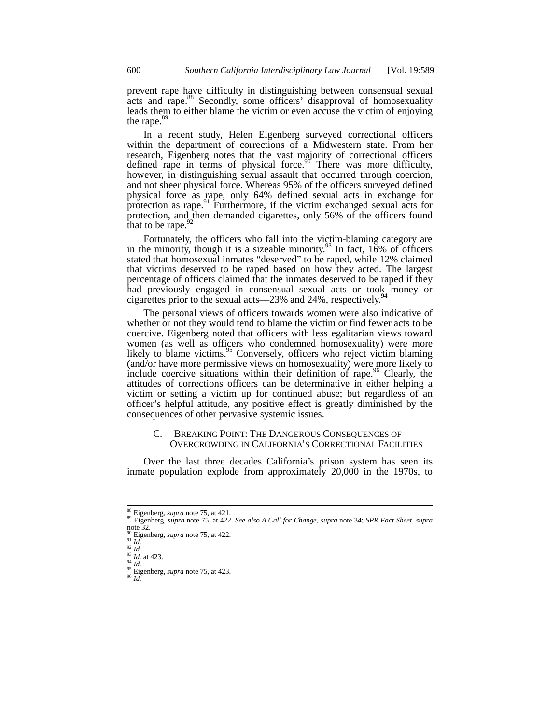prevent rape have difficulty in distinguishing between consensual sexual acts and rape.<sup>88</sup> Secondly, some officers' disapproval of homosexuality leads them to either blame the victim or even accuse the victim of enjoying the rape.<sup>89</sup>

In a recent study, Helen Eigenberg surveyed correctional officers within the department of corrections of a Midwestern state. From her research, Eigenberg notes that the vast majority of correctional officers defined rape in terms of physical force.<sup>90</sup> There was more difficulty, however, in distinguishing sexual assault that occurred through coercion, and not sheer physical force. Whereas 95% of the officers surveyed defined physical force as rape, only 64% defined sexual acts in exchange for protection as rape.<sup>91</sup> Furthermore, if the victim exchanged sexual acts for protection, and then demanded cigarettes, only 56% of the officers found that to be rape.  $92$ 

Fortunately, the officers who fall into the victim-blaming category are in the minority, though it is a sizeable minority.<sup>93</sup> In fact,  $16\%$  of officers stated that homosexual inmates "deserved" to be raped, while 12% claimed that victims deserved to be raped based on how they acted. The largest percentage of officers claimed that the inmates deserved to be raped if they had previously engaged in consensual sexual acts or took money or cigarettes prior to the sexual acts—23% and 24%, respectively. $\frac{5}{2}$ 

The personal views of officers towards women were also indicative of whether or not they would tend to blame the victim or find fewer acts to be coercive. Eigenberg noted that officers with less egalitarian views toward women (as well as officers who condemned homosexuality) were more likely to blame victims.<sup>95</sup> Conversely, officers who reject victim blaming (and/or have more permissive views on homosexuality) were more likely to include coercive situations within their definition of rape.<sup>96</sup> Clearly, the attitudes of corrections officers can be determinative in either helping a victim or setting a victim up for continued abuse; but regardless of an officer's helpful attitude, any positive effect is greatly diminished by the consequences of other pervasive systemic issues.

#### C. BREAKING POINT: THE DANGEROUS CONSEQUENCES OF OVERCROWDING IN CALIFORNIA'S CORRECTIONAL FACILITIES

Over the last three decades California's prison system has seen its inmate population explode from approximately 20,000 in the 1970s, to

<sup>88</sup> Eigenberg, *supra* note 75, at 421. <sup>89</sup> Eigenberg, *supra* note 75, at 422. *See also A Call for Change*, *supra* note 34; *SPR Fact Sheet*, *supra*  $\frac{1}{90}$  note 32.

<sup>90</sup> Eigenberg, *supra* note 75, at 422.<br>
91 *Id.*<br>
93 *Id.*<br>
93 *Id.* at 423.<br>
95 *Id.* 95 Eigenberg, *supra* note 75, at 423.<br>
96 *Id*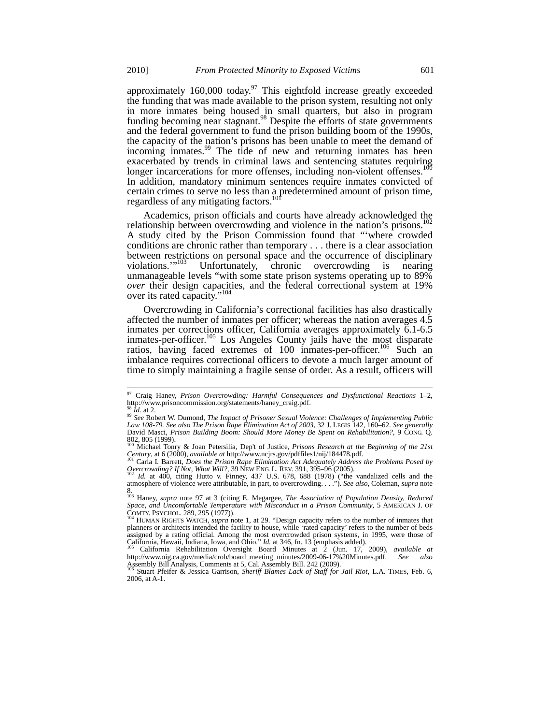approximately  $160,000$  today.<sup>97</sup> This eightfold increase greatly exceeded the funding that was made available to the prison system, resulting not only in more inmates being housed in small quarters, but also in program funding becoming near stagnant.<sup>98</sup> Despite the efforts of state governments and the federal government to fund the prison building boom of the 1990s, the capacity of the nation's prisons has been unable to meet the demand of incoming inmates.<sup>99</sup> The tide of new and returning inmates has been exacerbated by trends in criminal laws and sentencing statutes requiring longer incarcerations for more offenses, including non-violent offenses.<sup>100</sup> In addition, mandatory minimum sentences require inmates convicted of certain crimes to serve no less than a predetermined amount of prison time, regardless of any mitigating factors.<sup>10</sup>

Academics, prison officials and courts have already acknowledged the relationship between overcrowding and violence in the nation's prisons.<sup>102</sup> A study cited by the Prison Commission found that "'where crowded conditions are chronic rather than temporary . . . there is a clear association between restrictions on personal space and the occurrence of disciplinary violations."<sup>103</sup> Unfortunately, chronic overcrowding is nearing Unfortunately, chronic overcrowding is nearing unmanageable levels "with some state prison systems operating up to 89% *over* their design capacities, and the federal correctional system at 19% over its rated capacity."<sup>104</sup>

Overcrowding in California's correctional facilities has also drastically affected the number of inmates per officer; whereas the nation averages 4.5 inmates per corrections officer, California averages approximately 6.1-6.5 inmates-per-officer.<sup>105</sup> Los Angeles County jails have the most disparate ratios, having faced extremes of  $100$  inmates-per-officer.<sup>106</sup> Such an imbalance requires correctional officers to devote a much larger amount of time to simply maintaining a fragile sense of order. As a result, officers will

<sup>97</sup> Craig Haney, *Prison Overcrowding: Harmful Consequences and Dysfunctional Reactions* 1–2, France France, France Statements/haney\_craig.pdf.<br>http://www.prisoncommission.org/statements/haney\_craig.pdf.<br><sup>98</sup> Id. at 2.

<sup>98</sup> *Id.* at 2. <sup>99</sup> *See* Robert W. Dumond, *The Impact of Prisoner Sexual Violence: Challenges of Implementing Public Law 108-79. See also The Prison Rape Elimination Act of 2003*, 32 J. LEGIS 142, 160–62. *See generally* David Masci, Prison Building Boom: Should More Money Be Spent on Rehabilitation?, 9 CONG. Q. 802, 805 (1999).

<sup>100</sup> Michael Tonry & Joan Petersilia, Dep't of Justice, *Prisons Research at the Beginning of the 21st Century*, at 6 (2000), *available at* http://www.ncjrs.gov/pdffiles1/nij/184478.pdf. 101 Carla I. Barrett, *Does the Prison Rape Elimination Act Adequately Address the Problems Posed by* <sup>101</sup> Carla I. Barrett, *Does the* 

*Overcrowding? If Not, What Will?*, 39 NEW ENG. L. REV. 391, 395–96 (2005). <sup>102</sup> *Id.* at 400, citing Hutto v. Finney, 437 U.S. 678, 688 (1978) ("the vandalized cells and the

atmosphere of violence were attributable, in part, to overcrowding. . . ."). *See also*, Coleman, *supra* note 8. <sup>103</sup> Haney, *supra* note 97 at 3 (citing E. Megargee, *The Association of Population Density, Reduced* 

*Space, and Uncomfortable Temperature with Misconduct in a Prison Community*, 5 AMERICAN J. OF COMTY. PSYCHOL. 289, 295 (1977)).<br>COMTY. PSYCHOL. 289, 295 (1977)).<br><sup>104</sup> HUMAN RIGHTS WATCH, *supra* note 1, at 29. "Design capacity refers to the number of inmates that

planners or architects intended the facility to house, while 'rated capacity' refers to the number of beds assigned by a rating official. Among the most overcrowded prison systems, in 1995, were those of California, Hawaii, Indiana, Iowa, and Ohio." *Id.* at 346, fn. 13 (emphasis added).<br><sup>105</sup> California Rehabilitation Oversigh

http://www.oig.ca.gov/media/crob/board\_meeting\_minutes/2009-06-17%20Minutes.pdf. *See also*<br>Assembly Bill Analysis, Comments at 5, Cal. Assembly Bill. 242 (2009).<br><sup>106</sup> Stuart Pfeifer & Jessica Garrison, *Sheriff Blames La* 

<sup>2006,</sup> at A-1.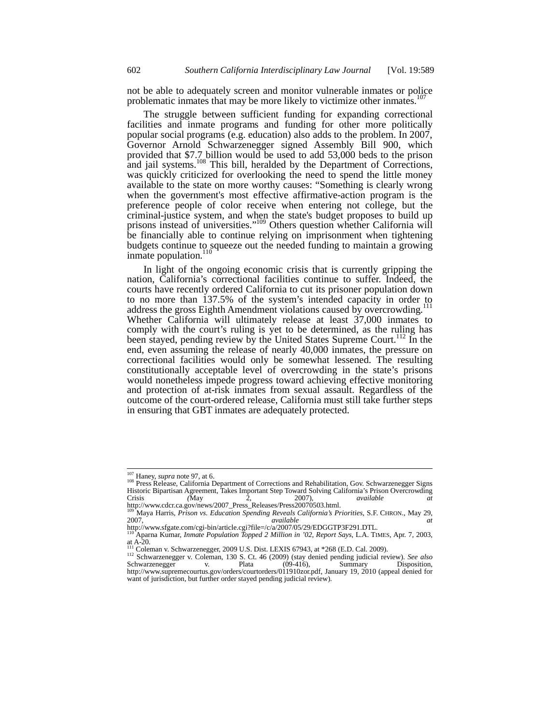not be able to adequately screen and monitor vulnerable inmates or police problematic inmates that may be more likely to victimize other inmates.<sup>107</sup>

The struggle between sufficient funding for expanding correctional facilities and inmate programs and funding for other more politically popular social programs (e.g. education) also adds to the problem. In 2007, Governor Arnold Schwarzenegger signed Assembly Bill 900, which provided that \$7.7 billion would be used to add 53,000 beds to the prison and jail systems.<sup>108</sup> This bill, heralded by the Department of Corrections, was quickly criticized for overlooking the need to spend the little money available to the state on more worthy causes: "Something is clearly wrong when the government's most effective affirmative-action program is the preference people of color receive when entering not college, but the criminal-justice system, and when the state's budget proposes to build up prisons instead of universities."<sup>109</sup> Others question whether California will be financially able to continue relying on imprisonment when tightening budgets continue to squeeze out the needed funding to maintain a growing inmate population. $110$ 

In light of the ongoing economic crisis that is currently gripping the nation, California's correctional facilities continue to suffer. Indeed, the courts have recently ordered California to cut its prisoner population down to no more than 137.5% of the system's intended capacity in order to address the gross Eighth Amendment violations caused by overcrowding. Whether California will ultimately release at least 37,000 inmates to comply with the court's ruling is yet to be determined, as the ruling has been stayed, pending review by the United States Supreme Court.<sup>112</sup> In the end, even assuming the release of nearly 40,000 inmates, the pressure on correctional facilities would only be somewhat lessened. The resulting constitutionally acceptable level of overcrowding in the state's prisons would nonetheless impede progress toward achieving effective monitoring and protection of at-risk inmates from sexual assault. Regardless of the outcome of the court-ordered release, California must still take further steps in ensuring that GBT inmates are adequately protected.

 $107$  Haney, *supra* note 97, at 6.

<sup>&</sup>lt;sup>108</sup> Press Release, California Department of Corrections and Rehabilitation, Gov. Schwarzenegger Signs Historic Bipartisan Agreement, Takes Important Step Toward Solving California's Prison Overcrowding<br>Crisis (May 2. 2007). available at Crisis *(*May 2, 2007), *available at* http://www.cdcr.ca.gov/news/2007\_Press\_Releases/Press20070503.html.

<sup>109</sup> Maya Harris, *Prison vs. Education Spending Reveals California's Priorities*, S.F. CHRON., May 29, 2007, *available at*

http://www.sfgate.com/cgi-bin/article.cgi?file=/c/a/2007/05/29/EDGGTP3F291.DTL.

<sup>&</sup>lt;sup>110</sup> Aparna Kumar, *Inmate Population Topped 2 Million in '02, Report Says*, L.A. TIMES, Apr. 7, 2003, at A-20.

<sup>&</sup>lt;sup>111</sup> Coleman v. Schwarzenegger, 2009 U.S. Dist. LEXIS 67943, at \*268 (E.D. Cal. 2009).<br><sup>112</sup> Schwarzenegger v. Coleman, 130 S. Ct. 46 (2009) (stay denied pending judicial review). See also<br>Schwarzenegger v. Plata (09-416) http://www.supremecourtus.gov/orders/courtorders/011910zor.pdf, January 19, 2010 (appeal denied for want of jurisdiction, but further order stayed pending judicial review).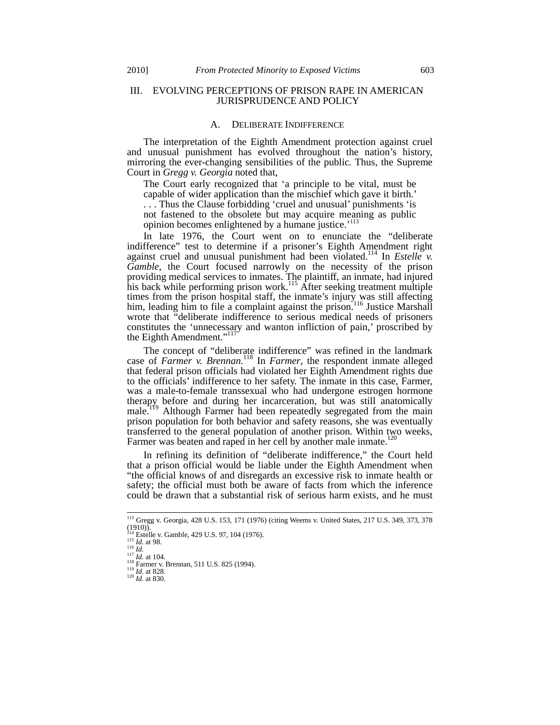# III. EVOLVING PERCEPTIONS OF PRISON RAPE IN AMERICAN JURISPRUDENCE AND POLICY

#### A. DELIBERATE INDIFFERENCE

The interpretation of the Eighth Amendment protection against cruel and unusual punishment has evolved throughout the nation's history, mirroring the ever-changing sensibilities of the public. Thus, the Supreme Court in *Gregg v. Georgia* noted that,

The Court early recognized that 'a principle to be vital, must be capable of wider application than the mischief which gave it birth.'

. . . Thus the Clause forbidding 'cruel and unusual' punishments 'is not fastened to the obsolete but may acquire meaning as public opinion becomes enlightened by a humane justice.<sup>'113</sup>

In late 1976, the Court went on to enunciate the "deliberate indifference" test to determine if a prisoner's Eighth Amendment right against cruel and unusual punishment had been violated.<sup>114</sup> In *Estelle v. Gamble*, the Court focused narrowly on the necessity of the prison providing medical services to inmates. The plaintiff, an inmate, had injured his back while performing prison work.<sup>115</sup> After seeking treatment multiple times from the prison hospital staff, the inmate's injury was still affecting him, leading him to file a complaint against the prison.<sup>116</sup> Justice Marshall wrote that "deliberate indifference to serious medical needs of prisoners constitutes the 'unnecessary and wanton infliction of pain,' proscribed by the Eighth Amendment."<sup>117</sup>

The concept of "deliberate indifference" was refined in the landmark case of *Farmer v. Brennan.*<sup>118</sup> In *Farmer*, the respondent inmate alleged that federal prison officials had violated her Eighth Amendment rights due to the officials' indifference to her safety. The inmate in this case, Farmer, was a male-to-female transsexual who had undergone estrogen hormone therapy before and during her incarceration, but was still anatomically male.<sup>119</sup> Although Farmer had been repeatedly segregated from the main prison population for both behavior and safety reasons, she was eventually transferred to the general population of another prison. Within two weeks, Farmer was beaten and raped in her cell by another male inmate.<sup>1</sup>

In refining its definition of "deliberate indifference," the Court held that a prison official would be liable under the Eighth Amendment when "the official knows of and disregards an excessive risk to inmate health or safety; the official must both be aware of facts from which the inference could be drawn that a substantial risk of serious harm exists, and he must

<sup>113</sup> Gregg v. Georgia, 428 U.S. 153, 171 (1976) (citing Weems v. United States*,* 217 U.S. 349, 373, 378 (1910)).<br>
<sup>114</sup> Estelle v. Gamble, 429 U.S. 97, 104 (1976).<br>
<sup>115</sup> Id. at 98.

<sup>116</sup> *Id.*<br>
116 *Id.*<br>
117 *Id.* at 104.<br>
<sup>119</sup> *Id.* at 828.<br>
<sup>120</sup> *Id.* at 830. 120 *Id.* at 830.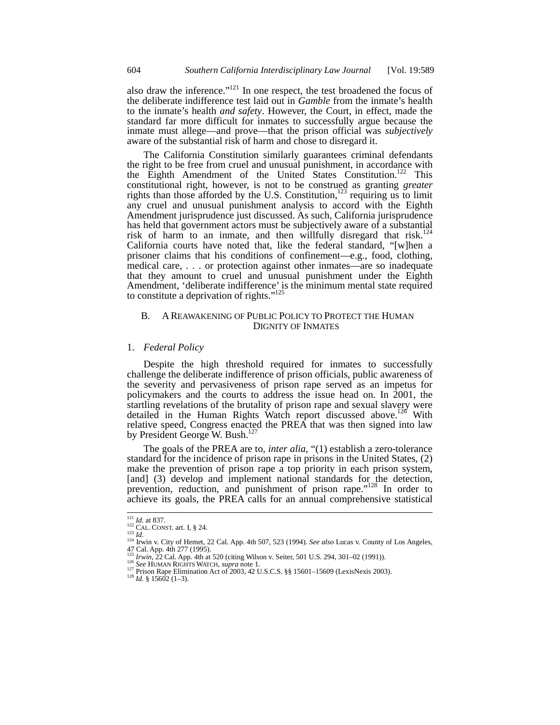also draw the inference."<sup>121</sup> In one respect, the test broadened the focus of the deliberate indifference test laid out in *Gamble* from the inmate's health to the inmate's health *and safety*. However, the Court, in effect, made the standard far more difficult for inmates to successfully argue because the inmate must allege—and prove—that the prison official was *subjectively*  aware of the substantial risk of harm and chose to disregard it.

The California Constitution similarly guarantees criminal defendants the right to be free from cruel and unusual punishment, in accordance with the Eighth Amendment of the United States Constitution.<sup>122</sup> This constitutional right, however, is not to be construed as granting *greater* rights than those afforded by the U.S. Constitution,  $^{123}$  requiring us to limit any cruel and unusual punishment analysis to accord with the Eighth Amendment jurisprudence just discussed. As such, California jurisprudence has held that government actors must be subjectively aware of a substantial risk of harm to an inmate, and then willfully disregard that risk.<sup>124</sup> California courts have noted that, like the federal standard, "[w]hen a prisoner claims that his conditions of confinement—e.g., food, clothing, medical care, . . . or protection against other inmates—are so inadequate that they amount to cruel and unusual punishment under the Eighth Amendment, 'deliberate indifference' is the minimum mental state required to constitute a deprivation of rights." $125$ 

#### B. A REAWAKENING OF PUBLIC POLICY TO PROTECT THE HUMAN DIGNITY OF INMATES

#### 1. *Federal Policy*

Despite the high threshold required for inmates to successfully challenge the deliberate indifference of prison officials, public awareness of the severity and pervasiveness of prison rape served as an impetus for policymakers and the courts to address the issue head on. In 2001, the startling revelations of the brutality of prison rape and sexual slavery were detailed in the Human Rights Watch report discussed above.<sup>126</sup> With relative speed, Congress enacted the PREA that was then signed into law by President George W. Bush.<sup>12</sup>

The goals of the PREA are to, *inter alia*, "(1) establish a zero-tolerance standard for the incidence of prison rape in prisons in the United States, (2) make the prevention of prison rape a top priority in each prison system, [and] (3) develop and implement national standards for the detection, prevention, reduction, and punishment of prison rape."<sup>128</sup> In order to achieve its goals, the PREA calls for an annual comprehensive statistical

 $\frac{121}{122}$  *Id.* at 837.<br><sup>122</sup> CAL. CONST. art. I, § 24.

<sup>1&</sup>lt;sup>21</sup> *Id.* at 837.<br><sup>122</sup> CAL. CONST. art. I, § 24.<br><sup>123</sup> *Id.* 124 Irwin v. City of Hemet, 22 Cal. App. 4th 507, 523 (1994). *See also* Lucas v. County of Los Angeles, 47 Cal. App. 4th 277 (1995).

<sup>&</sup>lt;sup>125</sup> *Irwin*, 22 Cal. App. 4th at 520 (citing Wilson v. Seiter, 501 U.S. 294, 301–02 (1991)).<br><sup>126</sup> *Irwin*, 22 Cal. App. 4th at 520 (citing Wilson v. Seiter, 501 U.S. 294, 301–02 (1991)).<br><sup>126</sup> *See* HUMAN RIGHTS WATCH,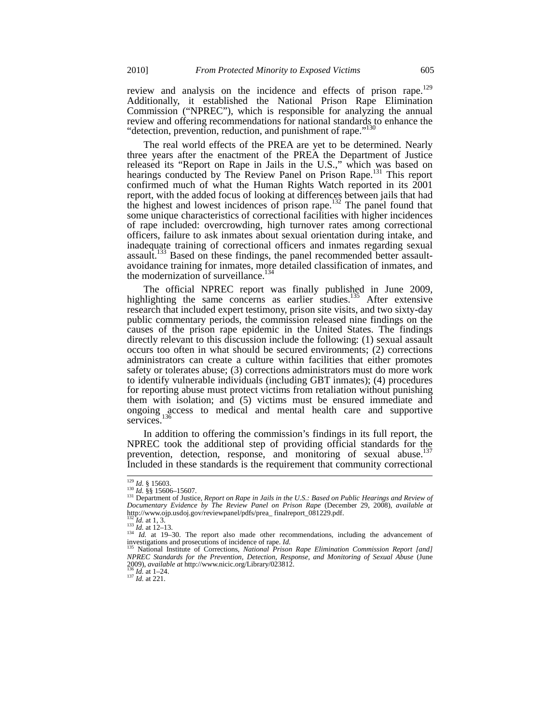review and analysis on the incidence and effects of prison rape.<sup>129</sup> Additionally, it established the National Prison Rape Elimination Commission ("NPREC"), which is responsible for analyzing the annual review and offering recommendations for national standards to enhance the "detection, prevention, reduction, and punishment of rape."<sup>130</sup>

The real world effects of the PREA are yet to be determined. Nearly three years after the enactment of the PREA the Department of Justice released its "Report on Rape in Jails in the U.S.," which was based on hearings conducted by The Review Panel on Prison Rape.<sup>131</sup> This report confirmed much of what the Human Rights Watch reported in its 2001 report, with the added focus of looking at differences between jails that had the highest and lowest incidences of prison rape.<sup>132</sup> The panel found that some unique characteristics of correctional facilities with higher incidences of rape included: overcrowding, high turnover rates among correctional officers, failure to ask inmates about sexual orientation during intake, and inadequate training of correctional officers and inmates regarding sexual assault.133 Based on these findings, the panel recommended better assaultavoidance training for inmates, more detailed classification of inmates, and the modernization of surveillance. $134$ 

The official NPREC report was finally published in June 2009, highlighting the same concerns as earlier studies.<sup>135</sup> After extensive research that included expert testimony, prison site visits, and two sixty-day public commentary periods, the commission released nine findings on the causes of the prison rape epidemic in the United States. The findings directly relevant to this discussion include the following: (1) sexual assault occurs too often in what should be secured environments; (2) corrections administrators can create a culture within facilities that either promotes safety or tolerates abuse; (3) corrections administrators must do more work to identify vulnerable individuals (including GBT inmates); (4) procedures for reporting abuse must protect victims from retaliation without punishing them with isolation; and (5) victims must be ensured immediate and ongoing access to medical and mental health care and supportive services.<sup>136</sup>

In addition to offering the commission's findings in its full report, the NPREC took the additional step of providing official standards for the prevention, detection, response, and monitoring of sexual abuse.<sup>137</sup> Included in these standards is the requirement that community correctional

 $129$  *Id.* § 15603.

<sup>&</sup>lt;sup>129</sup> *Id.* § 15603.<br><sup>130</sup> *Id.* §§ 15606–15607.<br><sup>131</sup> Department of Justice, *Report on Rape in Jails in the U.S.: Based on Public Hearings and Review of Documentary Evidence by The Review Panel on Prison Rape* (December 29, 2008), *available at* http://www.ojp.usdoj.gov/reviewpanel/pdfs/prea\_ finalreport\_081229.pdf.

 $132^2$ *Id.* at 1, 3. 133 *Id.* at 12–13.<br>  $133$  *Id.* at 12–13.<br>  $134$  *Id.* at 19–30. The report also made other recommendations, including the advancement of

investigations and prosecutions of incidence of rape. *Id*.<br><sup>135</sup> National Institute of Corrections, *National Prison Rape Elimination Commission Report [and] NPREC Standards for the Prevention, Detection, Response, and Monitoring of Sexual Abuse* (June 2009), *available at* http://www.nicic.org/Library/023812.<br><sup>136</sup> *Id.* at 1–24. 137 *Id.* at 221.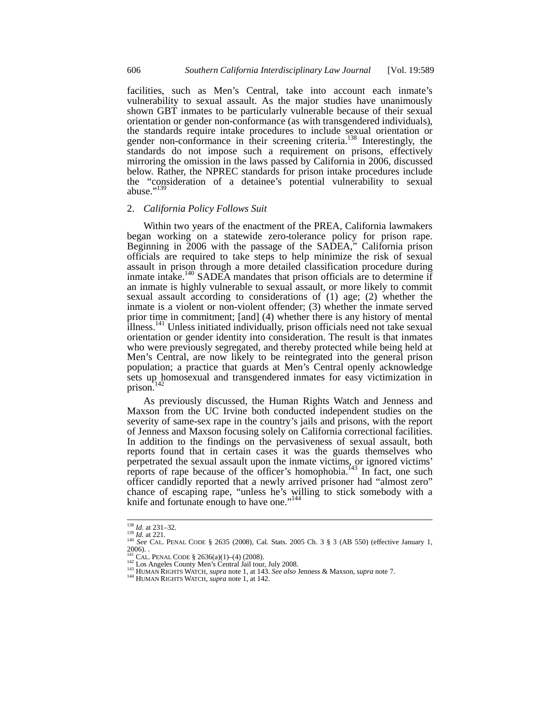facilities, such as Men's Central, take into account each inmate's vulnerability to sexual assault. As the major studies have unanimously shown GBT inmates to be particularly vulnerable because of their sexual orientation or gender non-conformance (as with transgendered individuals), the standards require intake procedures to include sexual orientation or gender non-conformance in their screening criteria.<sup>138</sup> Interestingly, the standards do not impose such a requirement on prisons, effectively mirroring the omission in the laws passed by California in 2006, discussed below. Rather, the NPREC standards for prison intake procedures include the "consideration of a detainee's potential vulnerability to sexual abuse." $^{13}$ 

#### 2. *California Policy Follows Suit*

Within two years of the enactment of the PREA, California lawmakers began working on a statewide zero-tolerance policy for prison rape. Beginning in 2006 with the passage of the SADEA," California prison officials are required to take steps to help minimize the risk of sexual assault in prison through a more detailed classification procedure during inmate intake.<sup>140</sup> SADEA mandates that prison officials are to determine if an inmate is highly vulnerable to sexual assault, or more likely to commit sexual assault according to considerations of (1) age; (2) whether the inmate is a violent or non-violent offender; (3) whether the inmate served prior time in commitment; [and] (4) whether there is any history of mental illness.<sup>141</sup> Unless initiated individually, prison officials need not take sexual orientation or gender identity into consideration. The result is that inmates who were previously segregated, and thereby protected while being held at Men's Central, are now likely to be reintegrated into the general prison population; a practice that guards at Men's Central openly acknowledge sets up homosexual and transgendered inmates for easy victimization in prison.

As previously discussed, the Human Rights Watch and Jenness and Maxson from the UC Irvine both conducted independent studies on the severity of same-sex rape in the country's jails and prisons, with the report of Jenness and Maxson focusing solely on California correctional facilities. In addition to the findings on the pervasiveness of sexual assault, both reports found that in certain cases it was the guards themselves who perpetrated the sexual assault upon the inmate victims, or ignored victims' reports of rape because of the officer's homophobia.<sup>143</sup> In fact, one such officer candidly reported that a newly arrived prisoner had "almost zero" chance of escaping rape, "unless he's willing to stick somebody with a knife and fortunate enough to have one."<sup>144</sup>

 $138$  *Id.* at 231-32.

<sup>&</sup>lt;sup>138</sup> *Id.* at 231–32.<br><sup>139</sup> *Id.* at 221.<br><sup>140</sup> *See* CAL. PENAL CODE § 2635 (2008), Cal. Stats. 2005 Ch. 3 § 3 (AB 550) (effective January 1, 2006). .

<sup>&</sup>lt;sup>142</sup> CAL. PENAL CODE § 2636(a)(1)–(4) (2008).<br><sup>142</sup> Los Angeles County Men's Central Jail tour, July 2008.<br><sup>143</sup> HUMAN RIGHTS WATCH, *supra* note 1, at 143. *See also Jenness & Maxson, supra* note 7.<br><sup>143</sup> HUMAN RIGHTS W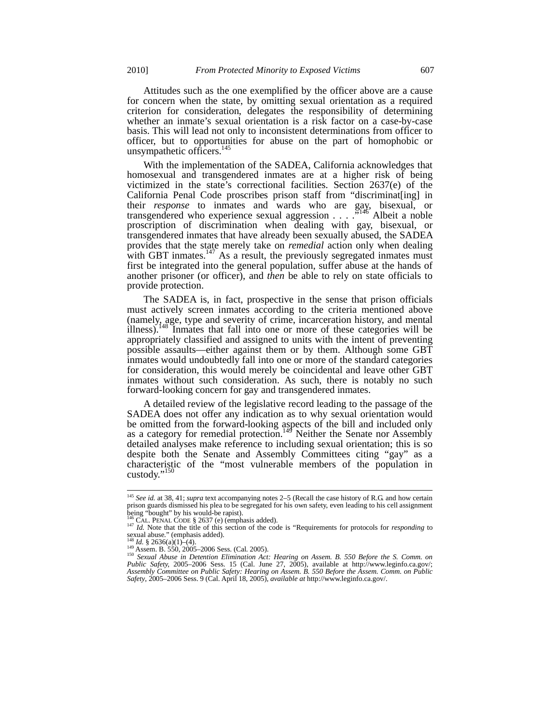Attitudes such as the one exemplified by the officer above are a cause for concern when the state, by omitting sexual orientation as a required criterion for consideration, delegates the responsibility of determining whether an inmate's sexual orientation is a risk factor on a case-by-case basis. This will lead not only to inconsistent determinations from officer to officer, but to opportunities for abuse on the part of homophobic or unsympathetic officers.<sup>145</sup>

With the implementation of the SADEA, California acknowledges that homosexual and transgendered inmates are at a higher risk of being victimized in the state's correctional facilities. Section 2637(e) of the California Penal Code proscribes prison staff from "discriminat[ing] in their *response* to inmates and wards who are gay, bisexual, or transgendered who experience sexual aggression  $\ldots$  . . .<sup>5146</sup> Albeit a noble proscription of discrimination when dealing with gay, bisexual, or transgendered inmates that have already been sexually abused, the SADEA provides that the state merely take on *remedial* action only when dealing with GBT inmates.<sup>147</sup> As a result, the previously segregated inmates must first be integrated into the general population, suffer abuse at the hands of another prisoner (or officer), and *then* be able to rely on state officials to provide protection.

The SADEA is, in fact, prospective in the sense that prison officials must actively screen inmates according to the criteria mentioned above (namely, age, type and severity of crime, incarceration history, and mental illness).148 Inmates that fall into one or more of these categories will be appropriately classified and assigned to units with the intent of preventing possible assaults—either against them or by them. Although some GBT inmates would undoubtedly fall into one or more of the standard categories for consideration, this would merely be coincidental and leave other GBT inmates without such consideration. As such, there is notably no such forward-looking concern for gay and transgendered inmates.

A detailed review of the legislative record leading to the passage of the SADEA does not offer any indication as to why sexual orientation would be omitted from the forward-looking aspects of the bill and included only as a category for remedial protection.<sup>149</sup> Neither the Senate nor Assembly detailed analyses make reference to including sexual orientation; this is so despite both the Senate and Assembly Committees citing "gay" as a characteristic of the "most vulnerable members of the population in custody."<sup>150</sup>

<sup>145</sup> *See id.* at 38, 41; *supra* text accompanying notes 2–5 (Recall the case history of R.G. and how certain prison guards dismissed his plea to be segregated for his own safety, even leading to his cell assignment being "bought" by his would-be rapist).<br>
<sup>146</sup> CAL. PENAL CODE § 2637 (e) (emphasis added).

<sup>147</sup> *Id.* Note that the title of this section of the code is "Requirements for protocols for *responding* to sexual abuse." (emphasis added).

<sup>&</sup>lt;sup>148</sup> Id. § 2636(a)(1)–(4).<br><sup>149</sup> Assem. B. 550, 2005–2006 Sess. (Cal. 2005).<br><sup>150</sup> Sexual Abuse in Detention Elimination Act: Hearing on Assem. B. 550 Before the S. Comm. on<br>Public Safety, 2005–2006 Sess. 15 (Cal. June 2 *Assembly Committee on Public Safety: Hearing on Assem. B. 550 Before the Assem. Comm. on Public Safety*, 2005–2006 Sess. 9 (Cal. April 18, 2005), *available at* http://www.leginfo.ca.gov/.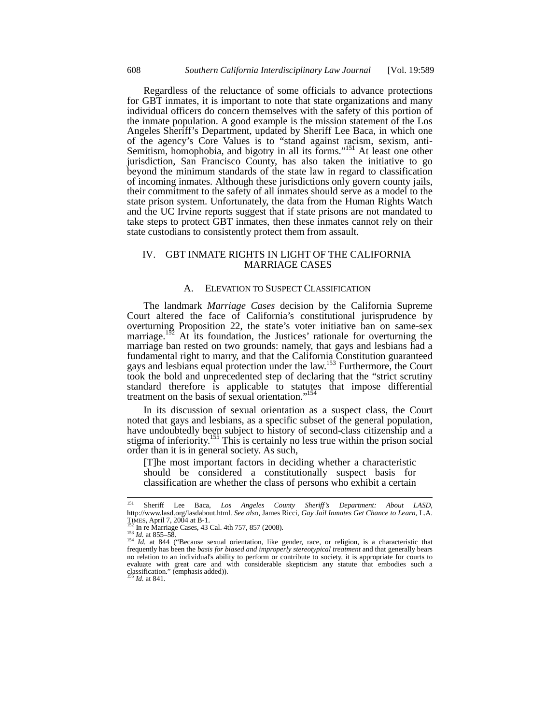Regardless of the reluctance of some officials to advance protections for GBT inmates, it is important to note that state organizations and many individual officers do concern themselves with the safety of this portion of the inmate population. A good example is the mission statement of the Los Angeles Sheriff's Department, updated by Sheriff Lee Baca, in which one of the agency's Core Values is to "stand against racism, sexism, anti-Semitism, homophobia, and bigotry in all its forms."<sup>151</sup> At least one other jurisdiction, San Francisco County, has also taken the initiative to go beyond the minimum standards of the state law in regard to classification of incoming inmates. Although these jurisdictions only govern county jails, their commitment to the safety of all inmates should serve as a model to the state prison system. Unfortunately, the data from the Human Rights Watch and the UC Irvine reports suggest that if state prisons are not mandated to take steps to protect GBT inmates, then these inmates cannot rely on their state custodians to consistently protect them from assault.

## IV. GBT INMATE RIGHTS IN LIGHT OF THE CALIFORNIA MARRIAGE CASES

## A. ELEVATION TO SUSPECT CLASSIFICATION

The landmark *Marriage Cases* decision by the California Supreme Court altered the face of California's constitutional jurisprudence by overturning Proposition 22, the state's voter initiative ban on same-sex marriage.<sup>152</sup> At its foundation, the Justices' rationale for overturning the marriage ban rested on two grounds: namely, that gays and lesbians had a fundamental right to marry, and that the California Constitution guaranteed gays and lesbians equal protection under the law.<sup>153</sup> Furthermore, the Court took the bold and unprecedented step of declaring that the "strict scrutiny standard therefore is applicable to statutes that impose differential treatment on the basis of sexual orientation."<sup>15</sup>

In its discussion of sexual orientation as a suspect class, the Court noted that gays and lesbians, as a specific subset of the general population, have undoubtedly been subject to history of second-class citizenship and a stigma of inferiority.<sup>155</sup> This is certainly no less true within the prison social order than it is in general society. As such,

[T]he most important factors in deciding whether a characteristic should be considered a constitutionally suspect basis for classification are whether the class of persons who exhibit a certain

<sup>151</sup> Sheriff Lee Baca, *Los Angeles County Sheriff's Department: About LASD*, http://www.lasd.org/lasdabout.html. *See also*, James Ricci, *Gay Jail Inmates Get Chance to Learn*, L.A. TIMES, April 7, 2004 at B-1.<br><sup>152</sup> In re Marriage Cases, 43 Cal. 4th 757, 857 (2008).<br><sup>153</sup> *Id.* at 855–58. 154 *Id.* at 844 ("Because sexual orientation, like gender, race, or religion, is a characteristic that

frequently has been the *basis for biased and improperly stereotypical treatment* and that generally bears no relation to an individual's ability to perform or contribute to society, it is appropriate for courts to evaluate with great care and with considerable skepticism any statute that embodies such a classification." (emphasis added)). <sup>155</sup> *Id.* at 841.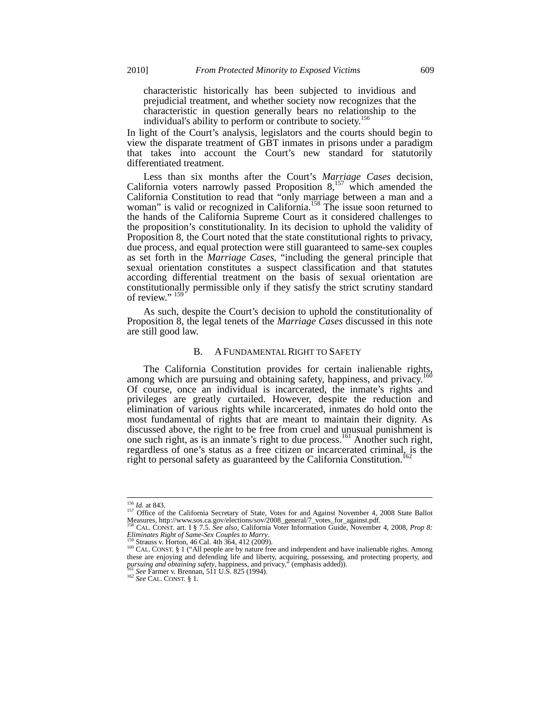characteristic historically has been subjected to invidious and prejudicial treatment, and whether society now recognizes that the characteristic in question generally bears no relationship to the individual's ability to perform or contribute to society.156

In light of the Court's analysis, legislators and the courts should begin to view the disparate treatment of GBT inmates in prisons under a paradigm that takes into account the Court's new standard for statutorily differentiated treatment.

Less than six months after the Court's *Marriage Cases* decision, California voters narrowly passed Proposition  $8,157$  which amended the California Constitution to read that "only marriage between a man and a woman" is valid or recognized in California.<sup>158</sup> The issue soon returned to the hands of the California Supreme Court as it considered challenges to the proposition's constitutionality. In its decision to uphold the validity of Proposition 8, the Court noted that the state constitutional rights to privacy, due process, and equal protection were still guaranteed to same-sex couples as set forth in the *Marriage Cases*, "including the general principle that sexual orientation constitutes a suspect classification and that statutes according differential treatment on the basis of sexual orientation are constitutionally permissible only if they satisfy the strict scrutiny standard of review."<sup>15</sup>

As such, despite the Court's decision to uphold the constitutionality of Proposition 8, the legal tenets of the *Marriage Cases* discussed in this note are still good law.

## B. A FUNDAMENTAL RIGHT TO SAFETY

The California Constitution provides for certain inalienable rights, among which are pursuing and obtaining safety, happiness, and privacy.<sup>1</sup> Of course, once an individual is incarcerated, the inmate's rights and privileges are greatly curtailed. However, despite the reduction and elimination of various rights while incarcerated, inmates do hold onto the most fundamental of rights that are meant to maintain their dignity. As discussed above, the right to be free from cruel and unusual punishment is one such right, as is an inmate's right to due process.161 Another such right, regardless of one's status as a free citizen or incarcerated criminal, is the right to personal safety as guaranteed by the California Constitution.<sup>1</sup>

<sup>&</sup>lt;sup>156</sup> *Id.* at 843.<br><sup>157</sup> Office of the California Secretary of State, Votes for and Against November 4, 2008 State Ballot<br>Measures, http://www.sos.ca.gov/elections/sov/2008\_general/7\_votes\_for\_against.pdf.<br><sup>158</sup> CAL. CONS

*Eliminates Right of Same-Sex Couples to Marry*.<br><sup>159</sup> Strauss v. Horton, 46 Cal. 4th 364, 412 (2009).<br><sup>160</sup> CAL. CONST. § 1 ("All people are by nature free and independent and have inalienable rights. Among

these are enjoying and defending life and liberty, acquiring, possessing, and protecting property, and *pursuing and obtaining safety*, happiness, and privacy," (emphasis added)).<br><sup>161</sup> *See* Farmer v. Brennan, 511 U.S. 82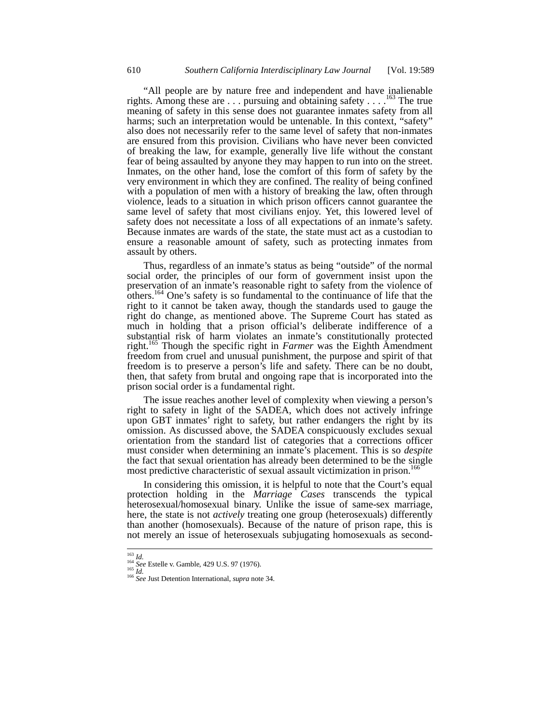"All people are by nature free and independent and have inalienable rights. Among these are  $\dots$  pursuing and obtaining safety  $\dots$  <sup>163</sup>. The true meaning of safety in this sense does not guarantee inmates safety from all harms; such an interpretation would be untenable. In this context, "safety" also does not necessarily refer to the same level of safety that non-inmates are ensured from this provision. Civilians who have never been convicted of breaking the law, for example, generally live life without the constant fear of being assaulted by anyone they may happen to run into on the street. Inmates, on the other hand, lose the comfort of this form of safety by the very environment in which they are confined. The reality of being confined with a population of men with a history of breaking the law, often through violence, leads to a situation in which prison officers cannot guarantee the same level of safety that most civilians enjoy. Yet, this lowered level of safety does not necessitate a loss of all expectations of an inmate's safety. Because inmates are wards of the state, the state must act as a custodian to ensure a reasonable amount of safety, such as protecting inmates from assault by others.

Thus, regardless of an inmate's status as being "outside" of the normal social order, the principles of our form of government insist upon the preservation of an inmate's reasonable right to safety from the violence of others.<sup>164</sup> One's safety is so fundamental to the continuance of life that the right to it cannot be taken away, though the standards used to gauge the right do change, as mentioned above. The Supreme Court has stated as much in holding that a prison official's deliberate indifference of a substantial risk of harm violates an inmate's constitutionally protected right.<sup>165</sup> Though the specific right in *Farmer* was the Eighth Amendment freedom from cruel and unusual punishment, the purpose and spirit of that freedom is to preserve a person's life and safety. There can be no doubt, then, that safety from brutal and ongoing rape that is incorporated into the prison social order is a fundamental right.

The issue reaches another level of complexity when viewing a person's right to safety in light of the SADEA, which does not actively infringe upon GBT inmates' right to safety, but rather endangers the right by its omission. As discussed above, the SADEA conspicuously excludes sexual orientation from the standard list of categories that a corrections officer must consider when determining an inmate's placement. This is so *despite* the fact that sexual orientation has already been determined to be the single most predictive characteristic of sexual assault victimization in prison.<sup>1</sup>

In considering this omission, it is helpful to note that the Court's equal protection holding in the *Marriage Cases* transcends the typical heterosexual/homosexual binary. Unlike the issue of same-sex marriage, here, the state is not *actively* treating one group (heterosexuals) differently than another (homosexuals). Because of the nature of prison rape, this is not merely an issue of heterosexuals subjugating homosexuals as second-

l

<sup>163</sup> *Id.* <sup>164</sup> *See* Estelle v. Gamble, 429 U.S. 97 (1976). <sup>165</sup> *Id.* <sup>166</sup> *See* Just Detention International, *supra* note 34.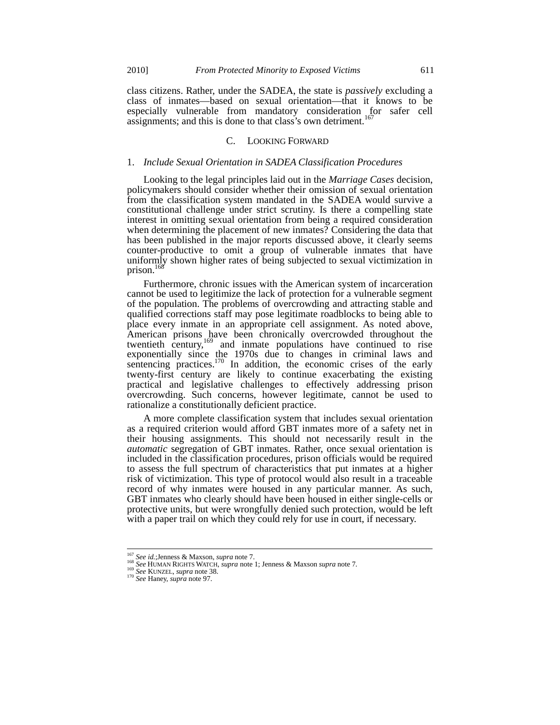class citizens. Rather, under the SADEA, the state is *passively* excluding a class of inmates—based on sexual orientation—that it knows to be especially vulnerable from mandatory consideration for safer cell assignments; and this is done to that class's own detriment.<sup>167</sup>

# C. LOOKING FORWARD

## 1. *Include Sexual Orientation in SADEA Classification Procedures*

Looking to the legal principles laid out in the *Marriage Cases* decision, policymakers should consider whether their omission of sexual orientation from the classification system mandated in the SADEA would survive a constitutional challenge under strict scrutiny. Is there a compelling state interest in omitting sexual orientation from being a required consideration when determining the placement of new inmates? Considering the data that has been published in the major reports discussed above, it clearly seems counter-productive to omit a group of vulnerable inmates that have uniformly shown higher rates of being subjected to sexual victimization in prison.<sup>168</sup>

Furthermore, chronic issues with the American system of incarceration cannot be used to legitimize the lack of protection for a vulnerable segment of the population. The problems of overcrowding and attracting stable and qualified corrections staff may pose legitimate roadblocks to being able to place every inmate in an appropriate cell assignment. As noted above, American prisons have been chronically overcrowded throughout the twentieth century,<sup>169</sup> and inmate populations have continued to rise exponentially since the 1970s due to changes in criminal laws and sentencing practices.<sup>170</sup> In addition, the economic crises of the early twenty-first century are likely to continue exacerbating the existing practical and legislative challenges to effectively addressing prison overcrowding. Such concerns, however legitimate, cannot be used to rationalize a constitutionally deficient practice.

A more complete classification system that includes sexual orientation as a required criterion would afford GBT inmates more of a safety net in their housing assignments. This should not necessarily result in the *automatic* segregation of GBT inmates. Rather, once sexual orientation is included in the classification procedures, prison officials would be required to assess the full spectrum of characteristics that put inmates at a higher risk of victimization. This type of protocol would also result in a traceable record of why inmates were housed in any particular manner. As such, GBT inmates who clearly should have been housed in either single-cells or protective units, but were wrongfully denied such protection, would be left with a paper trail on which they could rely for use in court, if necessary.

<sup>&</sup>lt;sup>167</sup> See id.;Jenness & Maxson, *supra* note 7.<br><sup>168</sup> See HUMAN RIGHTS WATCH, *supra* note 1; Jenness & Maxson *supra* note 7.<br><sup>169</sup> See KUNZEL, *supra* note 38.<br><sup>170</sup> See Haney, *supra* note 97.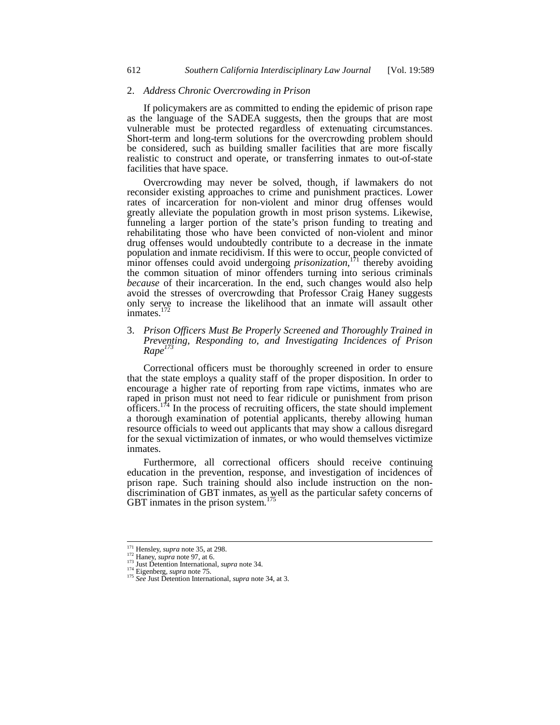#### 2. *Address Chronic Overcrowding in Prison*

If policymakers are as committed to ending the epidemic of prison rape as the language of the SADEA suggests, then the groups that are most vulnerable must be protected regardless of extenuating circumstances. Short-term and long-term solutions for the overcrowding problem should be considered, such as building smaller facilities that are more fiscally realistic to construct and operate, or transferring inmates to out-of-state facilities that have space.

Overcrowding may never be solved, though, if lawmakers do not reconsider existing approaches to crime and punishment practices. Lower rates of incarceration for non-violent and minor drug offenses would greatly alleviate the population growth in most prison systems. Likewise, funneling a larger portion of the state's prison funding to treating and rehabilitating those who have been convicted of non-violent and minor drug offenses would undoubtedly contribute to a decrease in the inmate population and inmate recidivism. If this were to occur, people convicted of minor offenses could avoid undergoing *prisonization*<sup>171</sup> thereby avoiding the common situation of minor offenders turning into serious criminals *because* of their incarceration. In the end, such changes would also help avoid the stresses of overcrowding that Professor Craig Haney suggests only serve to increase the likelihood that an inmate will assault other inmates.<sup>172</sup>

# 3. *Prison Officers Must Be Properly Screened and Thoroughly Trained in Preventing, Responding to, and Investigating Incidences of Prison Rape173*

Correctional officers must be thoroughly screened in order to ensure that the state employs a quality staff of the proper disposition. In order to encourage a higher rate of reporting from rape victims, inmates who are raped in prison must not need to fear ridicule or punishment from prison officers. $174$  In the process of recruiting officers, the state should implement a thorough examination of potential applicants, thereby allowing human resource officials to weed out applicants that may show a callous disregard for the sexual victimization of inmates, or who would themselves victimize inmates.

Furthermore, all correctional officers should receive continuing education in the prevention, response, and investigation of incidences of prison rape. Such training should also include instruction on the nondiscrimination of GBT inmates, as well as the particular safety concerns of GBT inmates in the prison system. $175$ 

 $171$  Hensley, *supra* note 35, at 298.

The Handy, supra note 97, at 6.<br>
<sup>172</sup> Haney, *supra* note 97, at 6.<br>
<sup>173</sup> Just Detention International, *supra* note 34.<br>
<sup>174</sup> Eigenberg, *supra* note 75.<br>
<sup>175</sup> See Just Detention International, *supra* note 34, at 3.